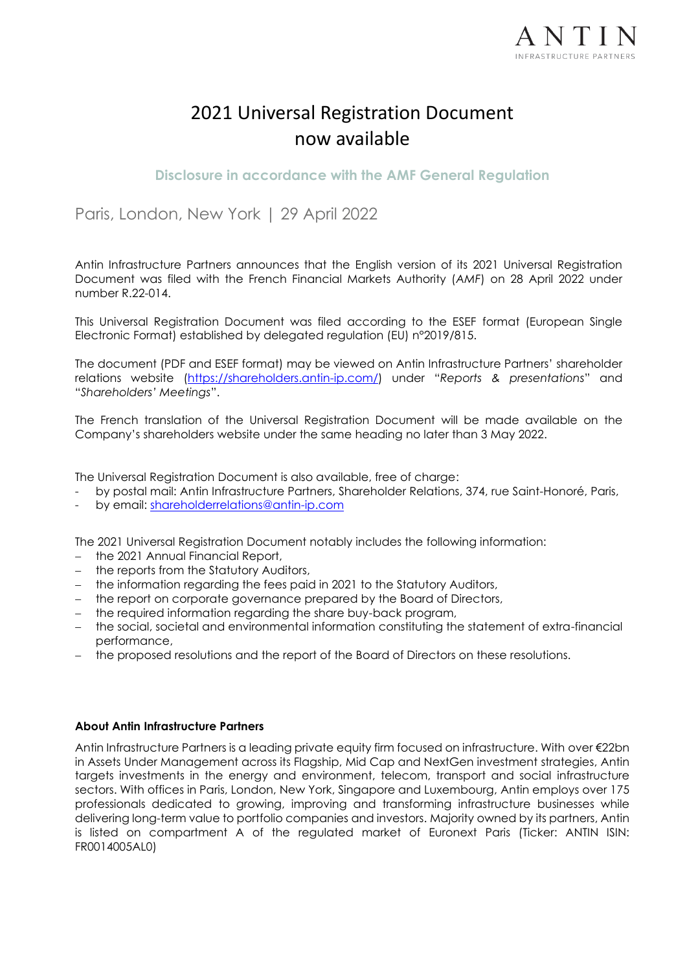

# 2021 Universal Registration Document now available

**Disclosure in accordance with the AMF General Regulation**

Paris, London, New York | 29 April 2022

Antin Infrastructure Partners announces that the English version of its 2021 Universal Registration Document was filed with the French Financial Markets Authority (*AMF*) on 28 April 2022 under number R.22-014.

This Universal Registration Document was filed according to the ESEF format (European Single Electronic Format) established by delegated regulation (EU) n°2019/815.

The document (PDF and ESEF format) may be viewed on Antin Infrastructure Partners' shareholder relations website [\(https://shareholders.antin-ip.com/](https://shareholders.antin-ip.com/)) under "*Reports & presentations*" and "*Shareholders' Meetings*".

The French translation of the Universal Registration Document will be made available on the Company's shareholders website under the same heading no later than 3 May 2022.

The Universal Registration Document is also available, free of charge:

- by postal mail: Antin Infrastructure Partners, Shareholder Relations, 374, rue Saint-Honoré, Paris,
- by email: [shareholderrelations@antin-ip.com](mailto:shareholderrelations@antin-ip.com)

The 2021 Universal Registration Document notably includes the following information:

- − the 2021 Annual Financial Report,
- − the reports from the Statutory Auditors,
- − the information regarding the fees paid in 2021 to the Statutory Auditors,
- − the report on corporate governance prepared by the Board of Directors,
- − the required information regarding the share buy-back program,
- − the social, societal and environmental information constituting the statement of extra-financial performance,
- − the proposed resolutions and the report of the Board of Directors on these resolutions.

### **About Antin Infrastructure Partners**

Antin Infrastructure Partners is a leading private equity firm focused on infrastructure. With over €22bn in Assets Under Management across its Flagship, Mid Cap and NextGen investment strategies, Antin targets investments in the energy and environment, telecom, transport and social infrastructure sectors. With offices in Paris, London, New York, Singapore and Luxembourg, Antin employs over 175 professionals dedicated to growing, improving and transforming infrastructure businesses while delivering long-term value to portfolio companies and investors. Majority owned by its partners, Antin is listed on compartment A of the regulated market of Euronext Paris (Ticker: ANTIN ISIN: FR0014005AL0)